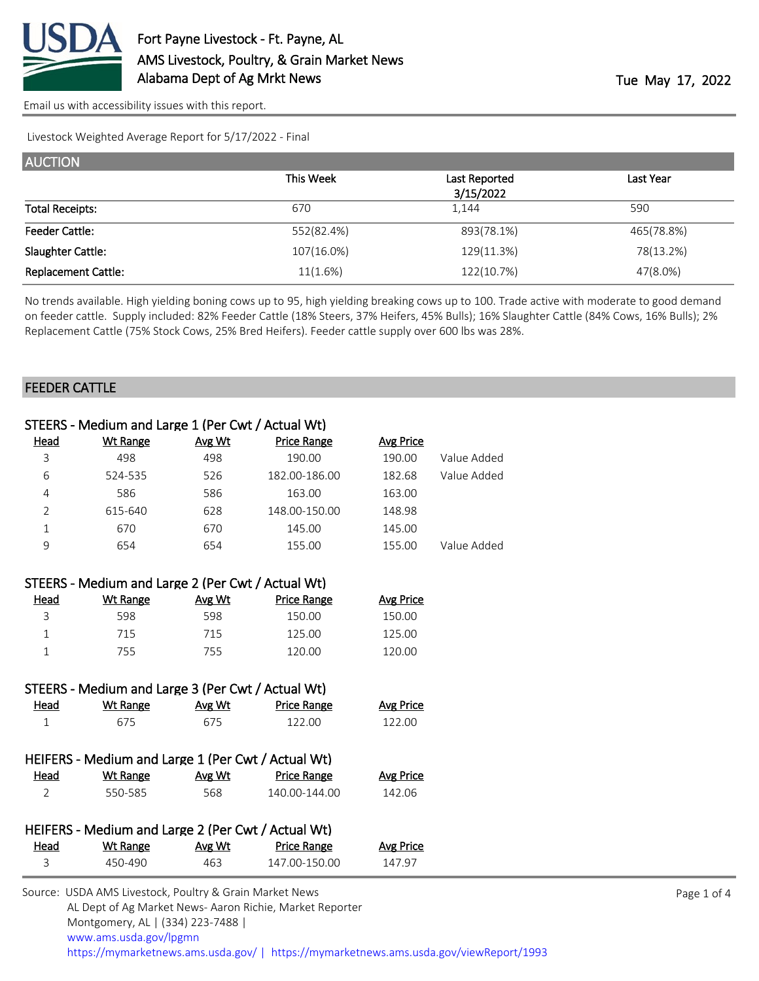

Livestock Weighted Average Report for 5/17/2022 - Final

| <b>AUCTION</b>             |            |               |            |
|----------------------------|------------|---------------|------------|
|                            | This Week  | Last Reported | Last Year  |
|                            |            | 3/15/2022     |            |
| <b>Total Receipts:</b>     | 670        | 1,144         | 590        |
| <b>Feeder Cattle:</b>      | 552(82.4%) | 893(78.1%)    | 465(78.8%) |
| Slaughter Cattle:          | 107(16.0%) | 129(11.3%)    | 78(13.2%)  |
| <b>Replacement Cattle:</b> | 11(1.6%)   | 122(10.7%)    | 47(8.0%)   |

No trends available. High yielding boning cows up to 95, high yielding breaking cows up to 100. Trade active with moderate to good demand on feeder cattle. Supply included: 82% Feeder Cattle (18% Steers, 37% Heifers, 45% Bulls); 16% Slaughter Cattle (84% Cows, 16% Bulls); 2% Replacement Cattle (75% Stock Cows, 25% Bred Heifers). Feeder cattle supply over 600 lbs was 28%.

#### FEEDER CATTLE

|                | STEERS - Medium and Large 1 (Per Cwt / Actual Wt)  |               |                    |                  |             |
|----------------|----------------------------------------------------|---------------|--------------------|------------------|-------------|
| Head           | <b>Wt Range</b>                                    | Avg Wt        | <b>Price Range</b> | <b>Avg Price</b> |             |
| 3              | 498                                                | 498           | 190.00             | 190.00           | Value Added |
| 6              | 524-535                                            | 526           | 182.00-186.00      | 182.68           | Value Added |
| 4              | 586                                                | 586           | 163.00             | 163.00           |             |
| $\overline{2}$ | 615-640                                            | 628           | 148.00-150.00      | 148.98           |             |
| $\mathbf{1}$   | 670                                                | 670           | 145.00             | 145.00           |             |
| 9              | 654                                                | 654           | 155.00             | 155.00           | Value Added |
|                |                                                    |               |                    |                  |             |
|                | STEERS - Medium and Large 2 (Per Cwt / Actual Wt)  |               |                    |                  |             |
| <u>Head</u>    | <b>Wt Range</b>                                    | Avg Wt        | <b>Price Range</b> | <b>Avg Price</b> |             |
| 3              | 598                                                | 598           | 150.00             | 150.00           |             |
| $\mathbf{1}$   | 715                                                | 715           | 125.00             | 125.00           |             |
| 1              | 755                                                | 755           | 120.00             | 120.00           |             |
|                |                                                    |               |                    |                  |             |
|                | STEERS - Medium and Large 3 (Per Cwt / Actual Wt)  |               |                    |                  |             |
| Head           | <b>Wt Range</b>                                    | <u>Avg Wt</u> | Price Range        | Avg Price        |             |
| $\mathbf{1}$   | 675                                                | 675           | 122.00             | 122.00           |             |
|                |                                                    |               |                    |                  |             |
|                | HEIFERS - Medium and Large 1 (Per Cwt / Actual Wt) |               |                    |                  |             |
| Head           | <b>Wt Range</b>                                    | Avg Wt        | <b>Price Range</b> | <b>Avg Price</b> |             |
| $\overline{2}$ | 550-585                                            | 568           | 140.00-144.00      | 142.06           |             |
|                |                                                    |               |                    |                  |             |
|                | HEIFERS - Medium and Large 2 (Per Cwt / Actual Wt) |               |                    |                  |             |
| Head           | <b>Wt Range</b>                                    | Avg Wt        | <b>Price Range</b> | <b>Avg Price</b> |             |
| 3              | 450-490                                            | 463           | 147.00-150.00      | 147.97           |             |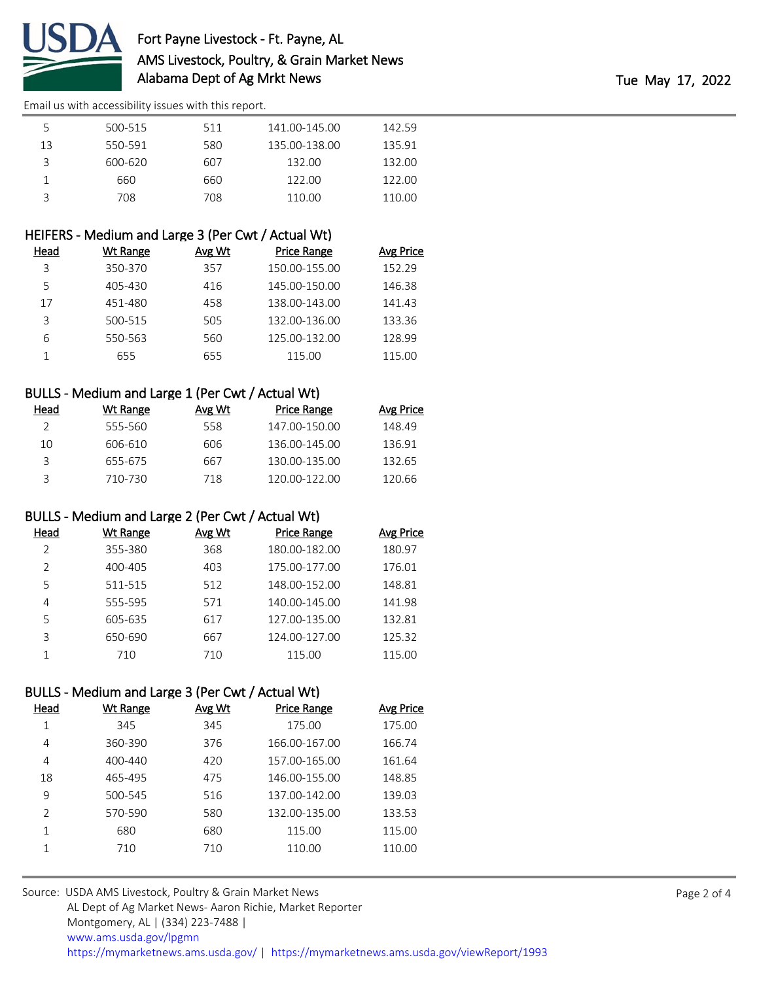

| 5  | 500-515 | 511 | 141.00-145.00 | 142.59 |  |
|----|---------|-----|---------------|--------|--|
| 13 | 550-591 | 580 | 135.00-138.00 | 135.91 |  |
|    | 600-620 | 607 | 132.00        | 132.00 |  |
|    | 660     | 660 | 122.00        | 122.00 |  |
|    | 708     | 708 | 110.00        | 110.00 |  |

# HEIFERS - Medium and Large 3 (Per Cwt / Actual Wt)

| Head | Wt Range | Avg Wt | <b>Price Range</b> | <b>Avg Price</b> |
|------|----------|--------|--------------------|------------------|
| 3    | 350-370  | 357    | 150.00-155.00      | 152.29           |
| 5    | 405-430  | 416    | 145.00-150.00      | 146.38           |
| 17   | 451-480  | 458    | 138.00-143.00      | 141.43           |
| 3    | 500-515  | 505    | 132.00-136.00      | 133.36           |
| 6    | 550-563  | 560    | 125.00-132.00      | 128.99           |
|      | 655      | 655    | 115.00             | 115.00           |

# BULLS - Medium and Large 1 (Per Cwt / Actual Wt)

| Head | Wt Range | Avg Wt | Price Range   | <b>Avg Price</b> |
|------|----------|--------|---------------|------------------|
|      | 555-560  | 558    | 147.00-150.00 | 148.49           |
| 10   | 606-610  | 606    | 136.00-145.00 | 136.91           |
| ₹    | 655-675  | 667    | 130.00-135.00 | 132.65           |
|      | 710-730  | 718    | 120.00-122.00 | 120.66           |

### BULLS - Medium and Large 2 (Per Cwt / Actual Wt)

| Head          | Wt Range | Avg Wt | <b>Price Range</b> | <b>Avg Price</b> |
|---------------|----------|--------|--------------------|------------------|
| $\mathcal{L}$ | 355-380  | 368    | 180.00-182.00      | 180.97           |
| <sup>2</sup>  | 400-405  | 403    | 175.00-177.00      | 176.01           |
| 5             | 511-515  | 512    | 148.00-152.00      | 148.81           |
| 4             | 555-595  | 571    | 140.00-145.00      | 141.98           |
| 5             | 605-635  | 617    | 127.00-135.00      | 132.81           |
| 3             | 650-690  | 667    | 124.00-127.00      | 125.32           |
|               | 710      | 710    | 115.00             | 115.00           |

### BULLS - Medium and Large 3 (Per Cwt / Actual Wt)

| Head          | Wt Range    | Avg Wt | <b>Price Range</b> | <b>Avg Price</b> |
|---------------|-------------|--------|--------------------|------------------|
| 1             | 345         | 345    | 175.00             | 175.00           |
| 4             | 360-390     | 376    | 166.00-167.00      | 166.74           |
| 4             | $400 - 440$ | 420    | 157.00-165.00      | 161.64           |
| 18            | 465-495     | 475    | 146.00-155.00      | 148.85           |
| 9             | 500-545     | 516    | 137.00-142.00      | 139.03           |
| $\mathcal{P}$ | 570-590     | 580    | 132.00-135.00      | 133.53           |
| 1             | 680         | 680    | 115.00             | 115.00           |
|               | 710         | 710    | 110.00             | 110.00           |
|               |             |        |                    |                  |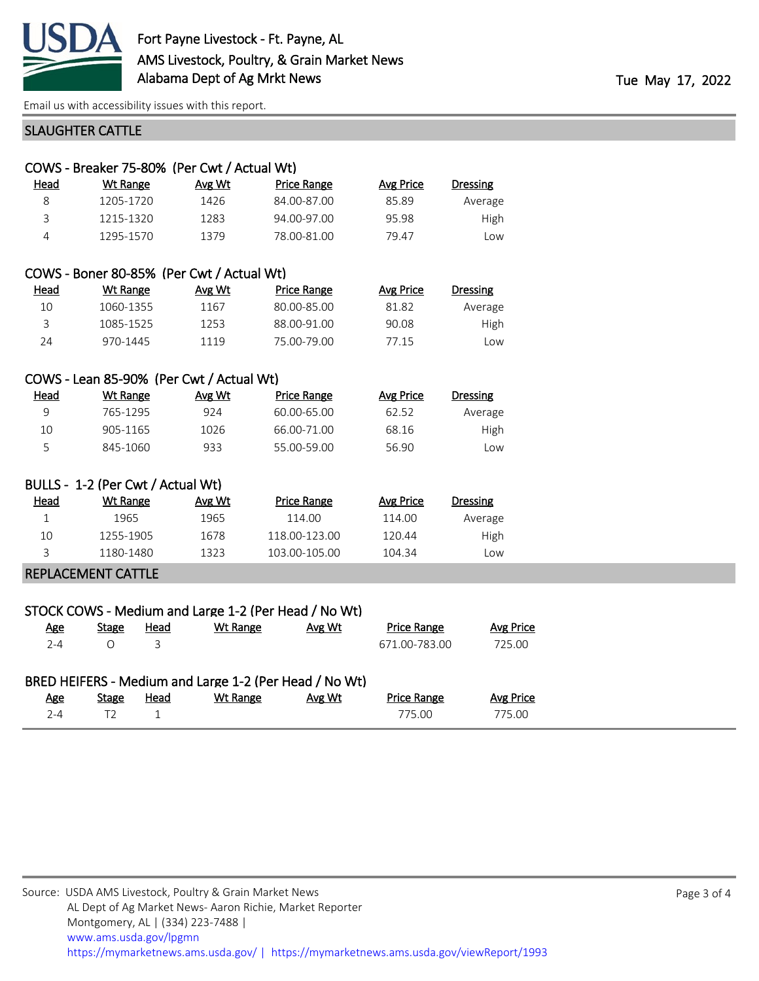

### SLAUGHTER CATTLE

|      | COWS - Breaker 75-80% (Per Cwt / Actual Wt) |        |                    |                  |                 |
|------|---------------------------------------------|--------|--------------------|------------------|-----------------|
| Head | Wt Range                                    | Avg Wt | <b>Price Range</b> | <b>Avg Price</b> | <b>Dressing</b> |
| 8    | 1205-1720                                   | 1426   | 84.00-87.00        | 85.89            | Average         |
| 3    | 1215-1320                                   | 1283   | 94.00-97.00        | 95.98            | High            |
| 4    | 1295-1570                                   | 1379   | 78.00-81.00        | 79.47            | Low             |
|      |                                             |        |                    |                  |                 |
|      | COWS - Boner 80-85% (Per Cwt / Actual Wt)   |        |                    |                  |                 |
| Head | Wt Range                                    | Avg Wt | <b>Price Range</b> | <b>Avg Price</b> | <b>Dressing</b> |
| 10   | 1060-1355                                   | 1167   | 80.00-85.00        | 81.82            | Average         |
| 3    | 1085-1525                                   | 1253   | 88.00-91.00        | 90.08            | High            |

#### COWS - Lean 85-90% (Per Cwt / Actual Wt)

| Head | Wt Range | Avg Wt | Price Range | Avg Price | Dressing  |
|------|----------|--------|-------------|-----------|-----------|
|      | 765-1295 | 924    | 60.00-65.00 | 62.52     | Average   |
| 10   | 905-1165 | 1026   | 66.00-71.00 | 68.16     | High      |
| ∽    | 845-1060 | 933    | 55.00-59.00 | 56.90     | <b>OW</b> |

24 970-1445 1119 75.00-79.00 77.15 Low

#### BULLS - 1-2 (Per Cwt / Actual Wt)

| Head | Wt Range  | Avg Wt | Price Range   | Avg Price | Dressing |
|------|-----------|--------|---------------|-----------|----------|
|      | 1965      | 1965   | 114.00        | 114.00    | Average  |
| 10   | 1255-1905 | 1678   | 118.00-123.00 | 120.44    | High     |
|      | 1180-1480 | 1323   | 103.00-105.00 | 104.34    | Low      |
|      |           |        |               |           |          |

# REPLACEMENT CATTLE

|            |              |      | STOCK COWS - Medium and Large 1-2 (Per Head / No Wt)               |        |                    |           |
|------------|--------------|------|--------------------------------------------------------------------|--------|--------------------|-----------|
| <u>Age</u> | <b>Stage</b> | Head | Wt Range                                                           | Avg Wt | <b>Price Range</b> | Avg Price |
| $2 - 4$    |              |      |                                                                    |        | 671.00-783.00      | 725.00    |
| <u>Age</u> | Stage        | Head | BRED HEIFERS - Medium and Large 1-2 (Per Head / No Wt)<br>Wt Range | Avg Wt | <b>Price Range</b> | Avg Price |
| $2 - 4$    | T2           |      |                                                                    |        | 775.00             | 775.00    |